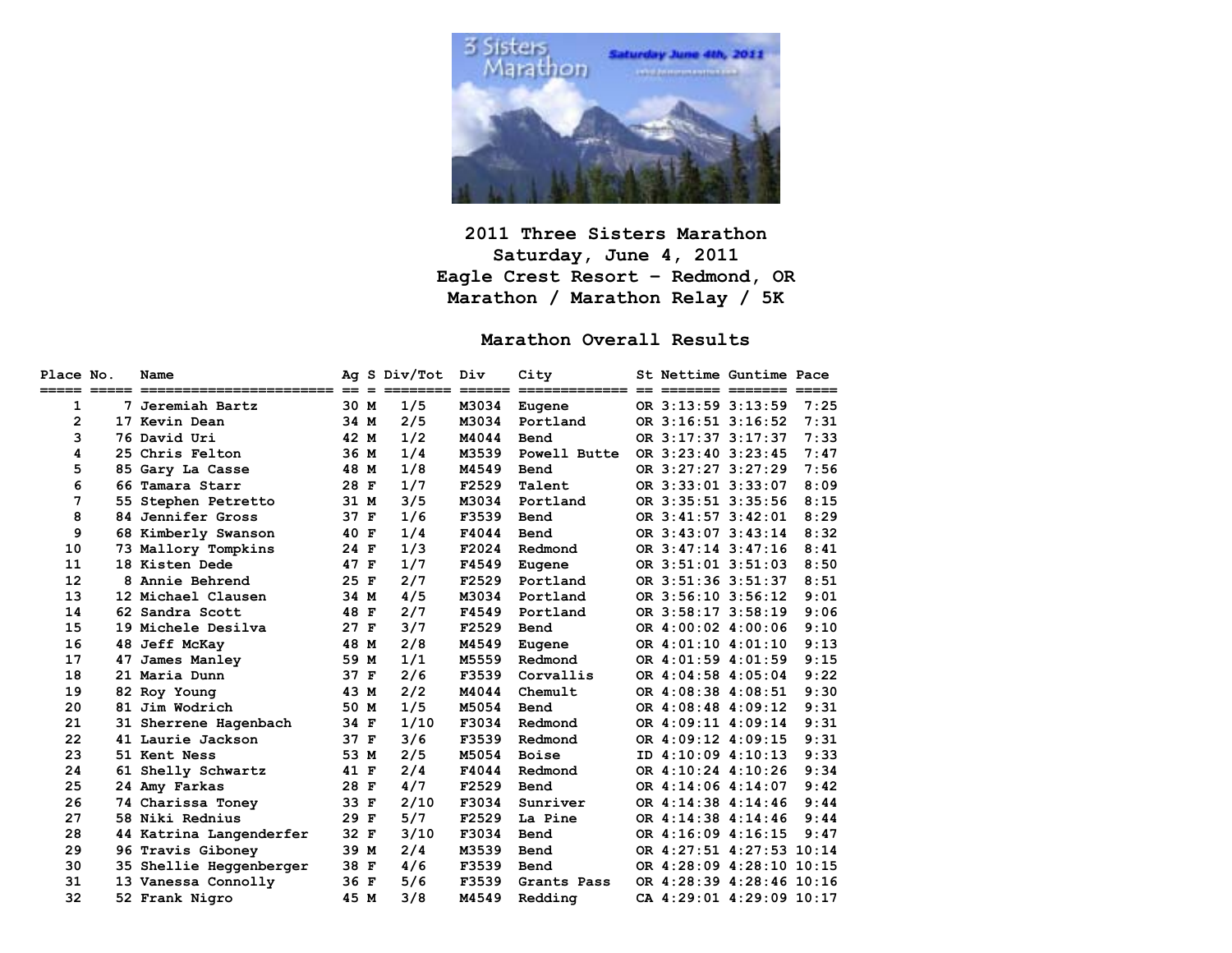

### **2011 Three Sisters Marathon Saturday, June 4, 2011 Eagle Crest Resort – Redmond, OR Marathon / Marathon Relay / 5K**

## **Marathon Overall Results**

| Place No. | Name                                                                                                      |      | Ag S Div/Tot | Div   | City         | St Nettime Guntime Pace  |      |
|-----------|-----------------------------------------------------------------------------------------------------------|------|--------------|-------|--------------|--------------------------|------|
|           | <u>sosoo aanaa soonaanaanaanaanaanaanaan oo o aanaanaa aanaan aanaanaanaanaa oo aanaana aanaana aanaa</u> |      |              |       |              |                          |      |
| 1         | 7 Jeremiah Bartz                                                                                          | 30 M | 1/5          | M3034 | Eugene       | OR 3:13:59 3:13:59       | 7:25 |
| 2         | 17 Kevin Dean                                                                                             | 34 M | 2/5          | M3034 | Portland     | OR 3:16:51 3:16:52       | 7:31 |
| 3         | 76 David Uri                                                                                              | 42 M | 1/2          | M4044 | Bend         | OR 3:17:37 3:17:37       | 7:33 |
| 4         | 25 Chris Felton                                                                                           | 36 M | 1/4          | M3539 | Powell Butte | OR 3:23:40 3:23:45       | 7:47 |
| 5         | 85 Gary La Casse                                                                                          | 48 M | 1/8          | M4549 | Bend         | OR 3:27:27 3:27:29       | 7:56 |
| 6         | 66 Tamara Starr                                                                                           | 28 F | 1/7          | F2529 | Talent       | OR 3:33:01 3:33:07       | 8:09 |
| 7         | 55 Stephen Petretto                                                                                       | 31 M | 3/5          | M3034 | Portland     | OR 3:35:51 3:35:56       | 8:15 |
| 8         | 84 Jennifer Gross                                                                                         | 37 F | 1/6          | F3539 | Bend         | OR 3:41:57 3:42:01       | 8:29 |
| 9         | 68 Kimberly Swanson                                                                                       | 40 F | 1/4          | F4044 | Bend         | OR 3:43:07 3:43:14       | 8:32 |
| 10        | 73 Mallory Tompkins                                                                                       | 24 F | 1/3          | F2024 | Redmond      | OR 3:47:14 3:47:16       | 8:41 |
| 11        | 18 Kisten Dede                                                                                            | 47 F | 1/7          | F4549 | Eugene       | OR 3:51:01 3:51:03       | 8:50 |
| 12        | 8 Annie Behrend                                                                                           | 25 F | 2/7          | F2529 | Portland     | OR 3:51:36 3:51:37       | 8:51 |
| 13        | 12 Michael Clausen                                                                                        | 34 M | 4/5          | M3034 | Portland     | OR 3:56:10 3:56:12       | 9:01 |
| 14        | 62 Sandra Scott                                                                                           | 48 F | 2/7          | F4549 | Portland     | OR 3:58:17 3:58:19       | 9:06 |
| 15        | 19 Michele Desilva                                                                                        | 27 F | 3/7          | F2529 | Bend         | OR 4:00:02 4:00:06       | 9:10 |
| 16        | 48 Jeff McKay                                                                                             | 48 M | 2/8          | M4549 | Eugene       | OR 4:01:10 4:01:10       | 9:13 |
| 17        | 47 James Manley                                                                                           | 59 M | 1/1          | M5559 | Redmond      | OR 4:01:59 4:01:59       | 9:15 |
| 18        | 21 Maria Dunn                                                                                             | 37 F | 2/6          | F3539 | Corvallis    | OR 4:04:58 4:05:04       | 9:22 |
| 19        | 82 Roy Young                                                                                              | 43 M | 2/2          | M4044 | Chemult      | OR 4:08:38 4:08:51       | 9:30 |
| 20        | 81 Jim Wodrich                                                                                            | 50 M | 1/5          | M5054 | Bend         | OR 4:08:48 4:09:12       | 9:31 |
| 21        | 31 Sherrene Hagenbach                                                                                     | 34 F | 1/10         | F3034 | Redmond      | OR 4:09:11 4:09:14       | 9:31 |
| 22        | 41 Laurie Jackson                                                                                         | 37 F | 3/6          | F3539 | Redmond      | OR 4:09:12 4:09:15       | 9:31 |
| 23        | 51 Kent Ness                                                                                              | 53 M | 2/5          | M5054 | <b>Boise</b> | ID 4:10:09 4:10:13       | 9:33 |
| 24        | 61 Shelly Schwartz                                                                                        | 41 F | 2/4          | F4044 | Redmond      | OR 4:10:24 4:10:26       | 9:34 |
| 25        | 24 Amy Farkas                                                                                             | 28 F | 4/7          | F2529 | Bend         | OR 4:14:06 4:14:07       | 9:42 |
| 26        | 74 Charissa Toney                                                                                         | 33 F | 2/10         | F3034 | Sunriver     | OR 4:14:38 4:14:46       | 9:44 |
| 27        | 58 Niki Rednius                                                                                           | 29 F | 5/7          | F2529 | La Pine      | OR 4:14:38 4:14:46       | 9:44 |
| 28        | 44 Katrina Langenderfer                                                                                   | 32 F | 3/10         | F3034 | Bend         | OR 4:16:09 4:16:15       | 9:47 |
| 29        | 96 Travis Giboney                                                                                         | 39 M | 2/4          | M3539 | Bend         | OR 4:27:51 4:27:53 10:14 |      |
| 30        | 35 Shellie Heggenberger                                                                                   | 38 F | 4/6          | F3539 | Bend         | OR 4:28:09 4:28:10 10:15 |      |
| 31        | 13 Vanessa Connolly                                                                                       | 36 F | 5/6          | F3539 | Grants Pass  | OR 4:28:39 4:28:46 10:16 |      |
| 32        | 52 Frank Nigro                                                                                            | 45 M | 3/8          | M4549 | Redding      | CA 4:29:01 4:29:09 10:17 |      |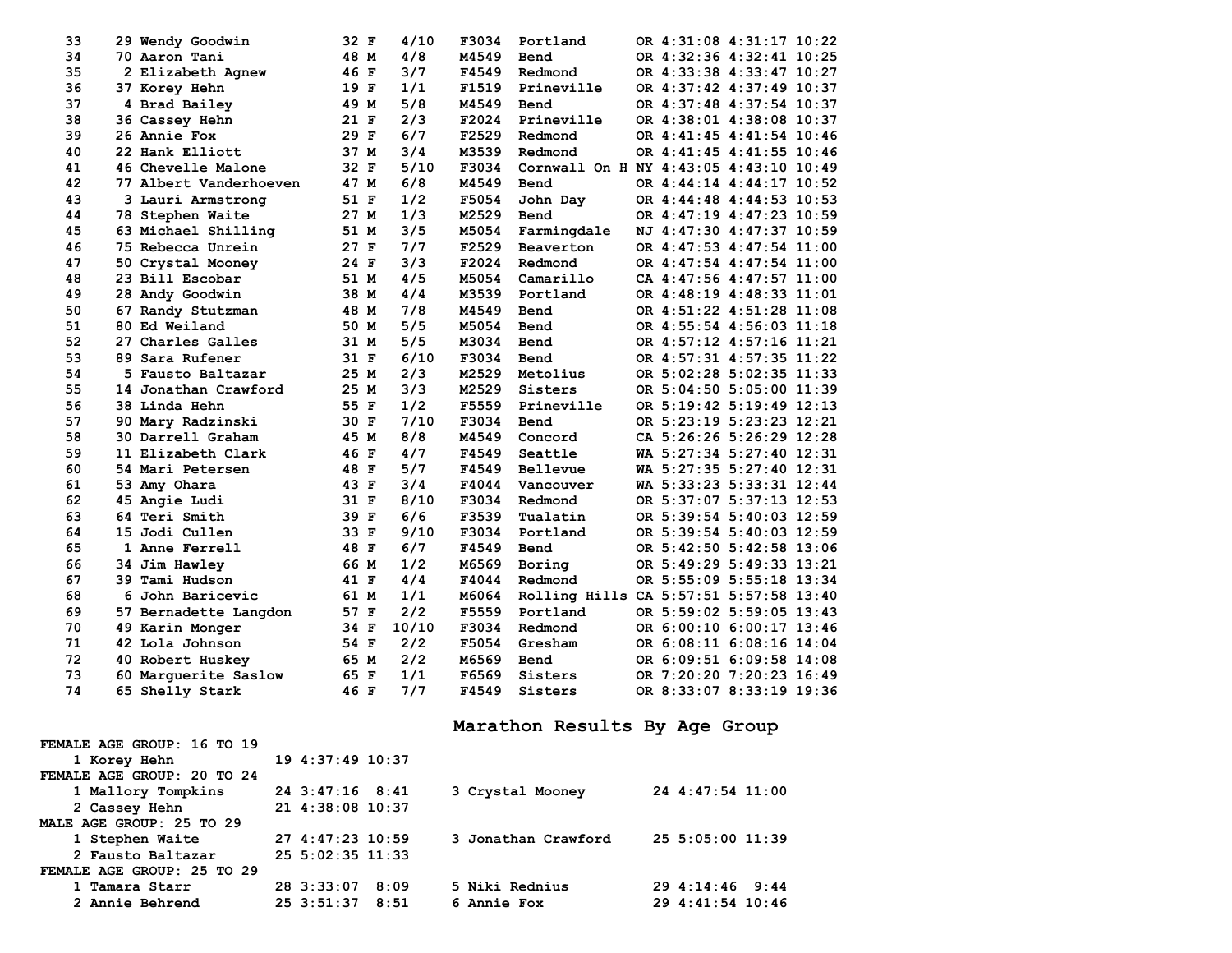| 33 | 29 Wendy Goodwin       | 32 F | 4/10  | F3034 | Portland                               |  | OR 4:31:08 4:31:17 10:22 |  |
|----|------------------------|------|-------|-------|----------------------------------------|--|--------------------------|--|
| 34 | 70 Aaron Tani          | 48 M | 4/8   | M4549 | Bend                                   |  | OR 4:32:36 4:32:41 10:25 |  |
| 35 | 2 Elizabeth Agnew      | 46 F | 3/7   | F4549 | Redmond                                |  | OR 4:33:38 4:33:47 10:27 |  |
| 36 | 37 Korey Hehn          | 19 F | 1/1   | F1519 | Prineville                             |  | OR 4:37:42 4:37:49 10:37 |  |
| 37 | 4 Brad Bailey          | 49 M | 5/8   | M4549 | Bend                                   |  | OR 4:37:48 4:37:54 10:37 |  |
| 38 | 36 Cassey Hehn         | 21 F | 2/3   | F2024 | Prineville                             |  | OR 4:38:01 4:38:08 10:37 |  |
| 39 | 26 Annie Fox           | 29 F | 6/7   | F2529 | Redmond                                |  | OR 4:41:45 4:41:54 10:46 |  |
| 40 | 22 Hank Elliott        | 37 M | 3/4   | M3539 | Redmond                                |  | OR 4:41:45 4:41:55 10:46 |  |
| 41 | 46 Chevelle Malone     | 32 F | 5/10  | F3034 | Cornwall On H NY 4:43:05 4:43:10 10:49 |  |                          |  |
| 42 | 77 Albert Vanderhoeven | 47 M | 6/8   | M4549 | <b>Bend</b>                            |  | OR 4:44:14 4:44:17 10:52 |  |
| 43 | 3 Lauri Armstrong      | 51 F | 1/2   | F5054 | John Day                               |  | OR 4:44:48 4:44:53 10:53 |  |
| 44 | 78 Stephen Waite       | 27 M | 1/3   | M2529 | <b>Bend</b>                            |  | OR 4:47:19 4:47:23 10:59 |  |
| 45 | 63 Michael Shilling    | 51 M | 3/5   | M5054 | Farmingdale                            |  | NJ 4:47:30 4:47:37 10:59 |  |
| 46 | 75 Rebecca Unrein      | 27 F | 7/7   | F2529 | Beaverton                              |  | OR 4:47:53 4:47:54 11:00 |  |
| 47 | 50 Crystal Mooney      | 24 F | 3/3   | F2024 | Redmond                                |  | OR 4:47:54 4:47:54 11:00 |  |
| 48 | 23 Bill Escobar        | 51 M | 4/5   | M5054 | Camarillo                              |  | CA 4:47:56 4:47:57 11:00 |  |
| 49 | 28 Andy Goodwin        | 38 M | 4/4   | M3539 | Portland                               |  | OR 4:48:19 4:48:33 11:01 |  |
| 50 | 67 Randy Stutzman      | 48 M | 7/8   | M4549 | Bend                                   |  | OR 4:51:22 4:51:28 11:08 |  |
| 51 | 80 Ed Weiland          | 50 M | 5/5   | M5054 | Bend                                   |  | OR 4:55:54 4:56:03 11:18 |  |
| 52 | 27 Charles Galles      | 31 M | 5/5   | M3034 | Bend                                   |  | OR 4:57:12 4:57:16 11:21 |  |
| 53 | 89 Sara Rufener        | 31 F | 6/10  | F3034 | Bend                                   |  | OR 4:57:31 4:57:35 11:22 |  |
| 54 | 5 Fausto Baltazar      | 25 M | 2/3   | M2529 | Metolius                               |  | OR 5:02:28 5:02:35 11:33 |  |
| 55 | 14 Jonathan Crawford   | 25 M | 3/3   | M2529 | Sisters                                |  | OR 5:04:50 5:05:00 11:39 |  |
| 56 | 38 Linda Hehn          | 55 F | 1/2   | F5559 | Prineville                             |  | OR 5:19:42 5:19:49 12:13 |  |
| 57 | 90 Mary Radzinski      | 30 F | 7/10  | F3034 | Bend                                   |  | OR 5:23:19 5:23:23 12:21 |  |
| 58 | 30 Darrell Graham      | 45 M | 8/8   | M4549 | Concord                                |  | CA 5:26:26 5:26:29 12:28 |  |
| 59 | 11 Elizabeth Clark     | 46 F | 4/7   | F4549 | Seattle                                |  | WA 5:27:34 5:27:40 12:31 |  |
| 60 | 54 Mari Petersen       | 48 F | 5/7   | F4549 | Bellevue                               |  | WA 5:27:35 5:27:40 12:31 |  |
| 61 | 53 Amy Ohara           | 43 F | 3/4   | F4044 | Vancouver                              |  | WA 5:33:23 5:33:31 12:44 |  |
| 62 | 45 Angie Ludi          | 31 F | 8/10  | F3034 | Redmond                                |  | OR 5:37:07 5:37:13 12:53 |  |
| 63 | 64 Teri Smith          | 39 F | 6/6   | F3539 | Tualatin                               |  | OR 5:39:54 5:40:03 12:59 |  |
| 64 | 15 Jodi Cullen         | 33 F | 9/10  | F3034 | Portland                               |  | OR 5:39:54 5:40:03 12:59 |  |
| 65 | 1 Anne Ferrell         | 48 F | 6/7   | F4549 | Bend                                   |  | OR 5:42:50 5:42:58 13:06 |  |
| 66 | 34 Jim Hawley          | 66 M | 1/2   | M6569 | Boring                                 |  | OR 5:49:29 5:49:33 13:21 |  |
| 67 | 39 Tami Hudson         | 41 F | 4/4   | F4044 | Redmond                                |  | OR 5:55:09 5:55:18 13:34 |  |
| 68 | 6 John Baricevic       | 61 M | 1/1   | M6064 | Rolling Hills CA 5:57:51 5:57:58 13:40 |  |                          |  |
| 69 | 57 Bernadette Langdon  | 57 F | 2/2   | F5559 | Portland                               |  | OR 5:59:02 5:59:05 13:43 |  |
| 70 | 49 Karin Monger        | 34 F | 10/10 | F3034 | Redmond                                |  | OR 6:00:10 6:00:17 13:46 |  |
| 71 | 42 Lola Johnson        | 54 F | 2/2   | F5054 | Gresham                                |  | OR 6:08:11 6:08:16 14:04 |  |
| 72 | 40 Robert Huskey       | 65 M | 2/2   | M6569 | <b>Bend</b>                            |  | OR 6:09:51 6:09:58 14:08 |  |
| 73 | 60 Marquerite Saslow   | 65 F | 1/1   | F6569 | Sisters                                |  | OR 7:20:20 7:20:23 16:49 |  |
| 74 | 65 Shelly Stark        | 46 F | 7/7   | F4549 | Sisters                                |  | OR 8:33:07 8:33:19 19:36 |  |

## **Marathon Results By Age Group**

| 1 Korey Hehn               | 19, 4:37:49, 10:37 |      |                     |                    |
|----------------------------|--------------------|------|---------------------|--------------------|
| FEMALE AGE GROUP: 20 TO 24 |                    |      |                     |                    |
| 1 Mallory Tompkins         | 24 3:47:16 8:41    |      | 3 Crystal Mooney    | 24 4:47:54 11:00   |
| 2 Cassey Hehn              | 21, 4:38:08, 10:37 |      |                     |                    |
| MALE AGE GROUP: 25 TO 29   |                    |      |                     |                    |
| 1 Stephen Waite            | 27 4:47:23 10:59   |      | 3 Jonathan Crawford | 25.5:05:00.11:39   |
| 2 Fausto Baltazar          | 25.5:02:35.11:33   |      |                     |                    |
| FEMALE AGE GROUP: 25 TO 29 |                    |      |                     |                    |
| 1 Tamara Starr             | 28 3:33:07         | 8:09 | 5 Niki Rednius      | 29, 4:14:46, 9:44  |
| 2 Annie Behrend            | 25 3:51:37 8:51    |      | 6 Annie Fox         | 29, 4:41:54, 10:46 |

**FEMALE AGE GROUP: 16 TO 19**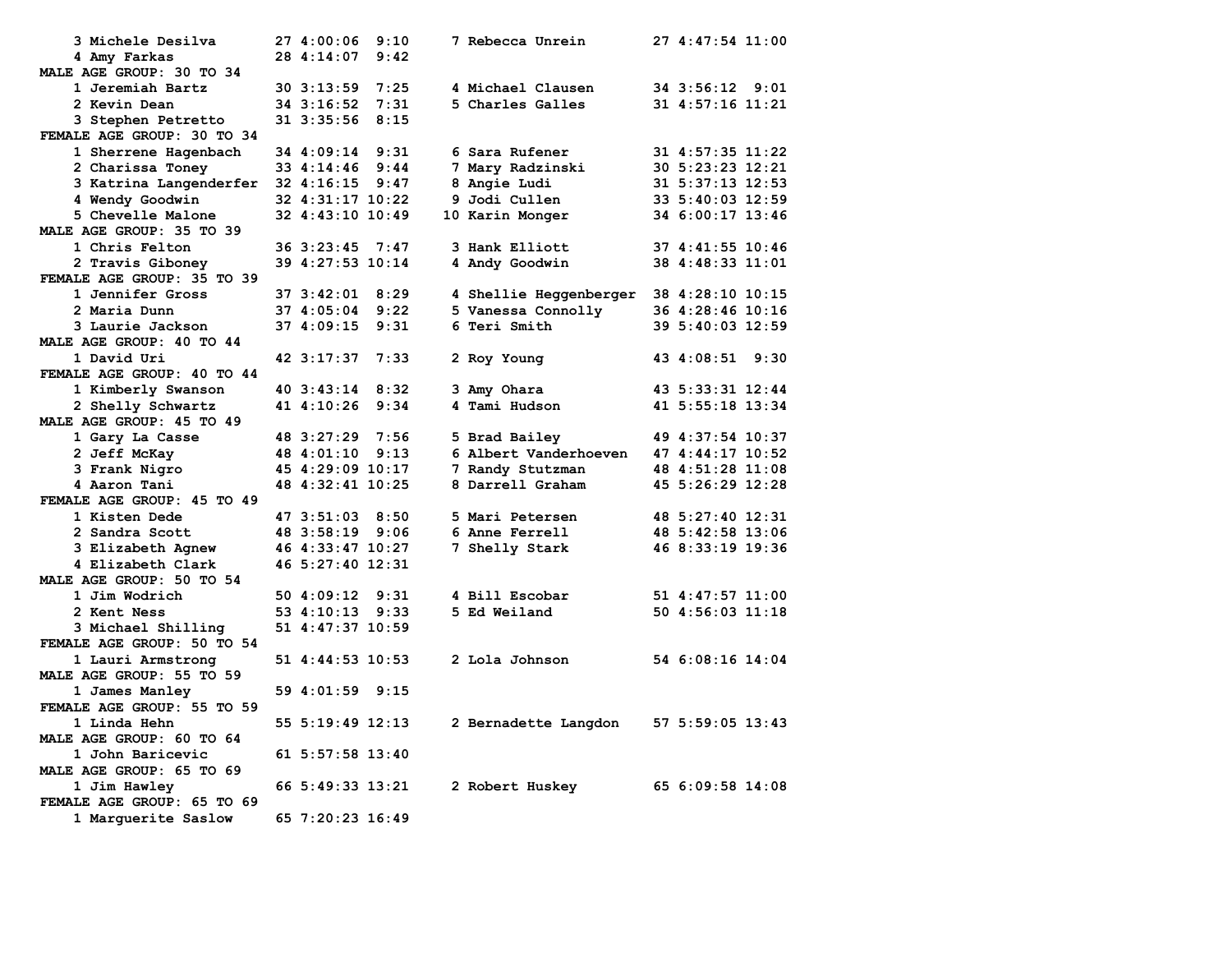| 3 Michele Desilva          | 27 4:00:06       | 9:10 | 7 Rebecca Unrein                          | 27 4:47:54 11:00   |
|----------------------------|------------------|------|-------------------------------------------|--------------------|
| 4 Amy Farkas               | 28 4:14:07       | 9:42 |                                           |                    |
| MALE AGE GROUP: 30 TO 34   |                  |      |                                           |                    |
| 1 Jeremiah Bartz           | 30 3:13:59       | 7:25 | 4 Michael Clausen                         | 34 3:56:12 9:01    |
| 2 Kevin Dean               | 34 3:16:52       | 7:31 | 5 Charles Galles                          | 31 4:57:16 11:21   |
| 3 Stephen Petretto         | 31 3:35:56       | 8:15 |                                           |                    |
| FEMALE AGE GROUP: 30 TO 34 |                  |      |                                           |                    |
| 1 Sherrene Hagenbach       | 34 4:09:14       | 9:31 | 6 Sara Rufener                            | 31 4:57:35 11:22   |
| 2 Charissa Toney           | 33 4:14:46       | 9:44 | 7 Mary Radzinski                          | 30 5:23:23 12:21   |
| 3 Katrina Langenderfer     | 32 4:16:15       | 9:47 | 8 Angie Ludi                              | 31 5:37:13 12:53   |
| 4 Wendy Goodwin            | 32 4:31:17 10:22 |      | 9 Jodi Cullen                             | 33 5:40:03 12:59   |
| 5 Chevelle Malone          | 32 4:43:10 10:49 |      | 10 Karin Monger                           | 34 6:00:17 13:46   |
| MALE AGE GROUP: 35 TO 39   |                  |      |                                           |                    |
| 1 Chris Felton             | 36 3:23:45       | 7:47 | 3 Hank Elliott                            | 37 4:41:55 10:46   |
| 2 Travis Giboney           | 39 4:27:53 10:14 |      | 4 Andy Goodwin                            | 38 4:48:33 11:01   |
| FEMALE AGE GROUP: 35 TO 39 |                  |      |                                           |                    |
| 1 Jennifer Gross           | 37 3:42:01       | 8:29 | 4 Shellie Heggenberger $38$ 4:28:10 10:15 |                    |
| 2 Maria Dunn               | 37 4:05:04       | 9:22 | 5 Vanessa Connolly                        | 36 4:28:46 10:16   |
| 3 Laurie Jackson           | 37 4:09:15       | 9:31 | 6 Teri Smith                              | 39 5:40:03 12:59   |
| MALE AGE GROUP: 40 TO 44   |                  |      |                                           |                    |
| 1 David Uri                | 42 3:17:37       | 7:33 | 2 Roy Young                               | 43 4:08:51<br>9:30 |
| FEMALE AGE GROUP: 40 TO 44 |                  |      |                                           |                    |
| 1 Kimberly Swanson         | 40 3:43:14       | 8:32 | 3 Amy Ohara                               | 43 5:33:31 12:44   |
| 2 Shelly Schwartz          | 41 4:10:26       | 9:34 | 4 Tami Hudson                             | 41 5:55:18 13:34   |
| MALE AGE GROUP: 45 TO 49   |                  |      |                                           |                    |
| 1 Gary La Casse            | 48 3:27:29       | 7:56 | 5 Brad Bailey                             | 49 4:37:54 10:37   |
| 2 Jeff McKay               | 48 4:01:10       | 9:13 | 6 Albert Vanderhoeven                     | 47 4:44:17 10:52   |
| 3 Frank Nigro              | 45 4:29:09 10:17 |      | 7 Randy Stutzman                          | 48 4:51:28 11:08   |
| 4 Aaron Tani               | 48 4:32:41 10:25 |      | 8 Darrell Graham                          | 45 5:26:29 12:28   |
| FEMALE AGE GROUP: 45 TO 49 |                  |      |                                           |                    |
| 1 Kisten Dede              | 47 3:51:03 8:50  |      | 5 Mari Petersen                           | 48 5:27:40 12:31   |
| 2 Sandra Scott             | 48 3:58:19       | 9:06 | 6 Anne Ferrell                            | 48 5:42:58 13:06   |
| 3 Elizabeth Agnew          | 46 4:33:47 10:27 |      | 7 Shelly Stark                            | 46 8:33:19 19:36   |
| 4 Elizabeth Clark          | 46 5:27:40 12:31 |      |                                           |                    |
| MALE AGE GROUP: 50 TO 54   |                  |      |                                           |                    |
| 1 Jim Wodrich              | 50 4:09:12       | 9:31 | 4 Bill Escobar                            | 51 4:47:57 11:00   |
| 2 Kent Ness                | 53 4:10:13       | 9:33 | 5 Ed Weiland                              | 50 4:56:03 11:18   |
|                            | 51 4:47:37 10:59 |      |                                           |                    |
| 3 Michael Shilling         |                  |      |                                           |                    |
| FEMALE AGE GROUP: 50 TO 54 |                  |      |                                           |                    |
| 1 Lauri Armstrong          | 51 4:44:53 10:53 |      | 2 Lola Johnson                            | 54 6:08:16 14:04   |
| MALE AGE GROUP: 55 TO 59   |                  |      |                                           |                    |
| 1 James Manley             | 59 4:01:59 9:15  |      |                                           |                    |
| FEMALE AGE GROUP: 55 TO 59 |                  |      |                                           |                    |
| 1 Linda Hehn               | 55 5:19:49 12:13 |      | 2 Bernadette Langdon                      | 57 5:59:05 13:43   |
| MALE AGE GROUP: 60 TO 64   |                  |      |                                           |                    |
| 1 John Baricevic           | 61 5:57:58 13:40 |      |                                           |                    |
| MALE AGE GROUP: 65 TO 69   |                  |      |                                           |                    |
| 1 Jim Hawley               | 66 5:49:33 13:21 |      | 2 Robert Huskey                           | 65 6:09:58 14:08   |
| FEMALE AGE GROUP: 65 TO 69 |                  |      |                                           |                    |
| 1 Marquerite Saslow        | 65 7:20:23 16:49 |      |                                           |                    |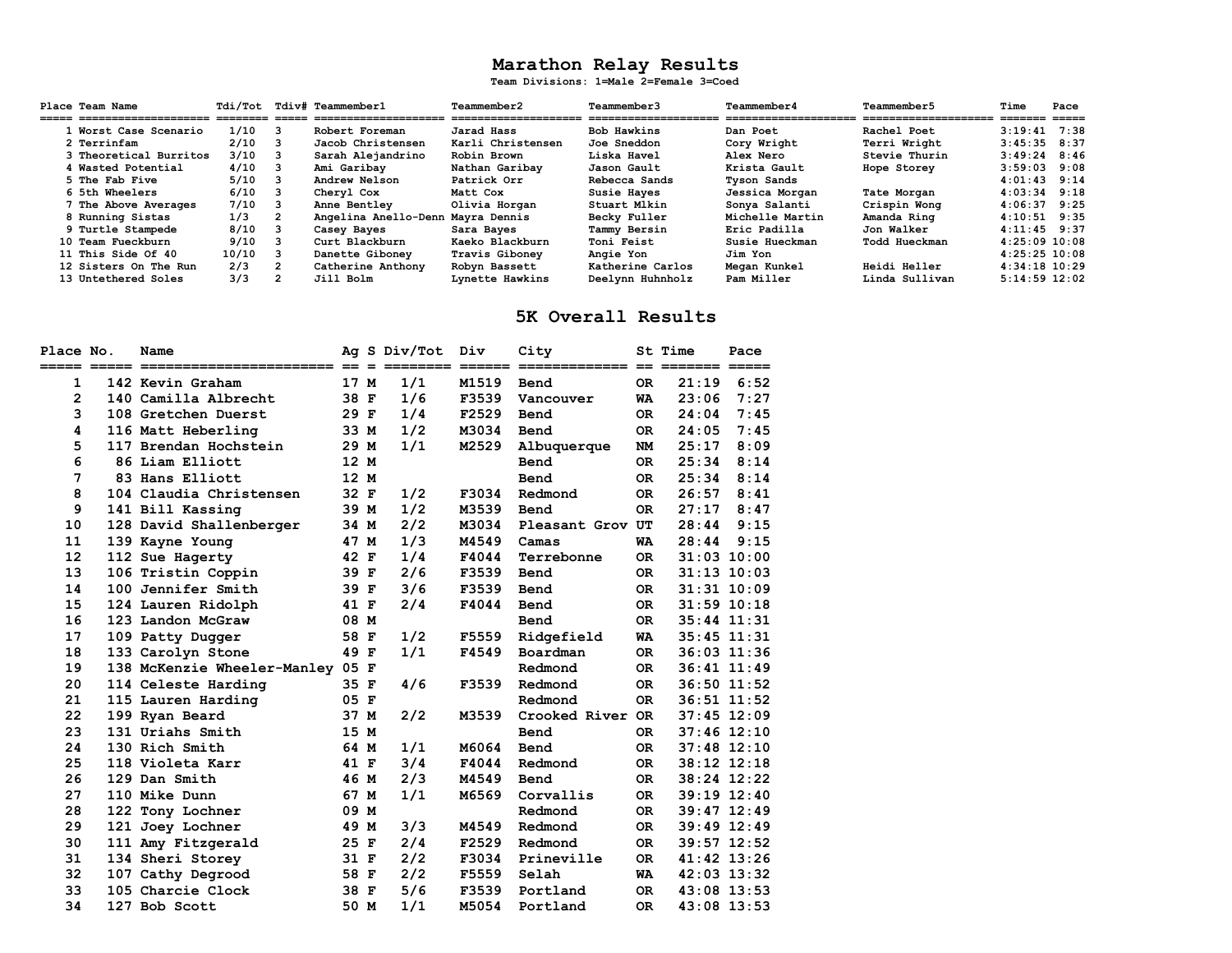# **Marathon Relay Results Team Divisions: 1=Male 2=Female 3=Coed**

| Place Team Name        | Tdi/Tot |                | <b>Tdiv# Teammember1</b>          | Teammember2           | Teammember3           | Teammember4           | Teammember5           | Time              | Pace |
|------------------------|---------|----------------|-----------------------------------|-----------------------|-----------------------|-----------------------|-----------------------|-------------------|------|
| =====================  |         |                | --------------------              | ===================== | ===================== | ===================== | ===================== | =======           |      |
| 1 Worst Case Scenario  | 1/10    | 3              | Robert Foreman                    | Jarad Hass            | Bob Hawkins           | Dan Poet              | Rachel Poet           | $3:19:41$ 7:38    |      |
| 2 Terrinfam            | 2/10    | $_{\rm 3}$     | Jacob Christensen                 | Karli Christensen     | Joe Sneddon           | Cory Wright           | Terri Wright          | $3:45:35$ 8:37    |      |
| 3 Theoretical Burritos | 3/10    | -3             | Sarah Alejandrino                 | Robin Brown           | Liska Havel           | Alex Nero             | Stevie Thurin         | $3:49:24$ 8:46    |      |
| 4 Wasted Potential     | 4/10    | 3              | Ami Garibav                       | Nathan Garibav        | Jason Gault           | Krista Gault          | Hope Storey           | $3:59:03$ 9:08    |      |
| 5 The Fab Five         | 5/10    | 3              | Andrew Nelson                     | Patrick Orr           | Rebecca Sands         | <b>Tyson Sands</b>    |                       | $4:01:43$ 9:14    |      |
| 6 5th Wheelers         | 6/10    | 3              | Cheryl Cox                        | Matt Cox              | Susie Hayes           | Jessica Morgan        | Tate Morgan           | $4:03:34$ $9:18$  |      |
| 7 The Above Averages   | 7/10    |                | Anne Bentley                      | Olivia Horgan         | Stuart Mlkin          | Sonya Salanti         | Crispin Wong          | $4:06:37$ 9:25    |      |
| 8 Running Sistas       | 1/3     |                | Angelina Anello-Denn Mayra Dennis |                       | Becky Fuller          | Michelle Martin       | Amanda Ring           | $4:10:51$ 9:35    |      |
| 9 Turtle Stampede      | 8/10    |                | Casey Bayes                       | Sara Bayes            | Tammy Bersin          | Eric Padilla          | Jon Walker            | $4:11:45$ 9:37    |      |
| 10 Team Fueckburn      | 9/10    | 3              | Curt Blackburn                    | Kaeko Blackburn       | <b>Toni Feist</b>     | Susie Hueckman        | Todd Hueckman         | $4:25:09$ 10:08   |      |
| 11 This Side Of 40     | 10/10   | 3              | Danette Gibonev                   | Travis Gibonev        | Angie Yon             | Jim Yon               |                       | $4:25:25$ 10:08   |      |
| 12 Sisters On The Run  | 2/3     | $\overline{2}$ | Catherine Anthony                 | Robyn Bassett         | Katherine Carlos      | Megan Kunkel          | <b>Heidi Heller</b>   | $4:34:18$ $10:29$ |      |
| 13 Untethered Soles    | 3/3     |                | Jill Bolm                         | Lynette Hawkins       | Deelynn Huhnholz      | Pam Miller            | Linda Sullivan        | $5:14:59$ 12:02   |      |

#### **5K Overall Results**

| Place No. |             | Name                             |                   |              | Ag S Div/Tot | Div                                                       | City             |           | <b>St Time</b>  | Pace            |
|-----------|-------------|----------------------------------|-------------------|--------------|--------------|-----------------------------------------------------------|------------------|-----------|-----------------|-----------------|
|           | ===== ===== | ------------------------         | $==$              | $=$          |              | $\qquad \qquad \equiv \equiv \equiv \equiv \equiv \equiv$ | ===========      | $=$       | =======         | $=====$         |
| 1         |             | 142 Kevin Graham                 | 17 M              |              | 1/1          | M1519                                                     | Bend             | <b>OR</b> | 21:19           | 6:52            |
| 2         |             | 140 Camilla Albrecht             | 38 F              |              | 1/6          | F3539                                                     | Vancouver        | WA        | 23:06           | 7:27            |
| 3         |             | 108 Gretchen Duerst              | 29 F              |              | 1/4          | F2529                                                     | <b>Bend</b>      | OR.       | 24:04           | 7:45            |
| 4         |             | 116 Matt Heberling               | 33 M              |              | 1/2          | M3034                                                     | Bend             | <b>OR</b> | 24:05           | 7:45            |
| 5         |             | 117 Brendan Hochstein            | 29 M              |              | 1/1          | M2529                                                     | Albuquerque      | <b>NM</b> | 25:17           | 8:09            |
| 6         |             | 86 Liam Elliott                  | $12 \overline{ }$ | M            |              |                                                           | Bend             | OR.       | 25:34           | 8:14            |
| 7         |             | 83 Hans Elliott                  | 12 M              |              |              |                                                           | Bend             | <b>OR</b> | 25:34           | 8:14            |
| 8         |             | 104 Claudia Christensen          | 32 F              |              | 1/2          | F3034                                                     | Redmond          | <b>OR</b> | 26:57           | 8:41            |
| 9         |             | 141 Bill Kassing                 | 39 M              |              | 1/2          | M3539                                                     | <b>Bend</b>      | <b>OR</b> | 27:17           | 8:47            |
| 10        |             | 128 David Shallenberger          | 34 M              |              | 2/2          | M3034                                                     | Pleasant Grov UT |           | 28:44           | 9:15            |
| 11        |             | 139 Kayne Young                  | 47                | м            | 1/3          | M4549                                                     | Camas            | WA        | 28:44           | 9:15            |
| 12        |             | 112 Sue Hagerty                  | 42 F              |              | 1/4          | F4044                                                     | Terrebonne       | OR.       | $31:03$ $10:00$ |                 |
| 13        |             | 106 Tristin Coppin               | 39 F              |              | 2/6          | F3539                                                     | <b>Bend</b>      | OR.       |                 | $31:13$ $10:03$ |
| 14        |             | 100 Jennifer Smith               | 39 F              |              | 3/6          | F3539                                                     | Bend             | OR.       | $31:31$ $10:09$ |                 |
| 15        |             | 124 Lauren Ridolph               | 41 F              |              | 2/4          | F4044                                                     | Bend             | <b>OR</b> | $31:59$ $10:18$ |                 |
| 16        |             | 123 Landon McGraw                | 08 M              |              |              |                                                           | Bend             | <b>OR</b> | $35:44$ $11:31$ |                 |
| 17        |             | 109 Patty Dugger                 | 58 F              |              | 1/2          | F5559                                                     | Ridgefield       | <b>WA</b> | $35:45$ $11:31$ |                 |
| 18        |             | 133 Carolyn Stone                | 49 F              |              | 1/1          | F4549                                                     | Boardman         | <b>OR</b> | $36:03$ 11:36   |                 |
| 19        |             | 138 McKenzie Wheeler-Manley 05 F |                   |              |              |                                                           | Redmond          | <b>OR</b> | $36:41$ $11:49$ |                 |
| 20        |             | 114 Celeste Harding              | 35 F              |              | 4/6          | F3539                                                     | Redmond          | OR.       | 36:50 11:52     |                 |
| 21        |             | 115 Lauren Harding               | 05 F              |              |              |                                                           | Redmond          | OR.       | 36:51 11:52     |                 |
| 22        |             | 199 Ryan Beard                   | 37 M              |              | 2/2          | M3539                                                     | Crooked River OR |           | $37:45$ 12:09   |                 |
| 23        |             | 131 Uriahs Smith                 | 15                | M            |              |                                                           | <b>Bend</b>      | OR.       | $37:46$ 12:10   |                 |
| 24        |             | 130 Rich Smith                   | 64 M              |              | 1/1          | M6064                                                     | Bend             | <b>OR</b> | $37:48$ 12:10   |                 |
| 25        |             | 118 Violeta Karr                 | 41 F              |              | 3/4          | F4044                                                     | Redmond          | <b>OR</b> | $38:12$ $12:18$ |                 |
| 26        |             | 129 Dan Smith                    | 46 M              |              | 2/3          | M4549                                                     | Bend             | <b>OR</b> | 38:24 12:22     |                 |
| 27        |             | 110 Mike Dunn                    | 67 M              |              | 1/1          | M6569                                                     | Corvallis        | <b>OR</b> | 39:19 12:40     |                 |
| 28        |             | 122 Tony Lochner                 | 09 M              |              |              |                                                           | Redmond          | <b>OR</b> | 39:47 12:49     |                 |
| 29        |             | 121 Joey Lochner                 | 49 M              |              | 3/3          | M4549                                                     | Redmond          | <b>OR</b> | 39:49 12:49     |                 |
| 30        |             | 111 Amy Fitzgerald               | 25 F              |              | 2/4          | F2529                                                     | Redmond          | <b>OR</b> | 39:57 12:52     |                 |
| 31        |             | 134 Sheri Storey                 | 31 F              |              | 2/2          | F3034                                                     | Prineville       | <b>OR</b> | 41:42 13:26     |                 |
| 32        |             | 107 Cathy Degrood                | 58 F              |              | 2/2          | F5559                                                     | Selah            | WA        | 42:03 13:32     |                 |
| 33        |             | 105 Charcie Clock                | 38                | $\mathbf{F}$ | 5/6          | F3539                                                     | Portland         | <b>OR</b> | 43:08 13:53     |                 |
| 34        |             | 127 Bob Scott                    | 50 M              |              | 1/1          | M5054                                                     | Portland         | OR.       | 43:08 13:53     |                 |